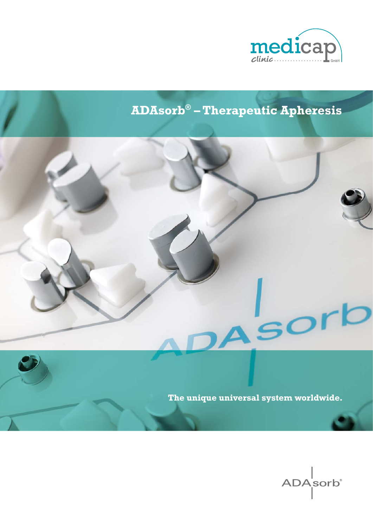

# **ADAsorb® – Therapeutic Apheresis**



 $\overline{S}$ 

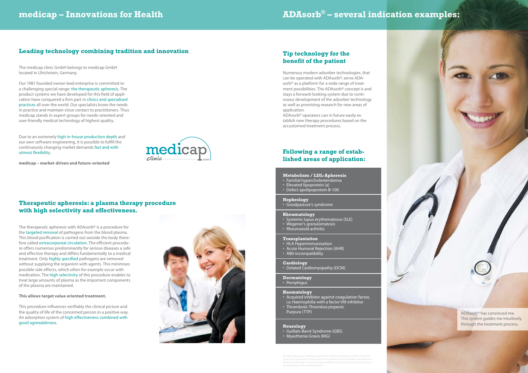The medicap clinic GmbH belongs to medicap GmbH located in Ulrichstein, Germany.

Due to an extremely high in-house production depth and our own software engineering, it is possible to fulfill the continuously changing market demands fast and with utmost flexibility.

medicap

Our 1981 founded owner-lead enterprise is committed to a challenging special range: the therapeutic apheresis. The product systems we have developed for this field of application have conquered a firm part in clinics and specialised practices all over the world. Our specialists know the needs in practice and maintain close contact to practitioners. Thus medicap stands in expert groups for needs-oriented and user-friendly medical technology of highest quality.

**medicap – market-driven and future-oriented**

# **Leading technology combining tradition and innovation**

## **Therapeutic apheresis: a plasma therapy procedure with high selectivity and effectiveness.**

This procedure influences verifiably the clinical picture and the quality of life of the concerned person in a positive way. An adsorption system of high effectiveness combined with good agreeableness.



- Familial hypercholesterolemia
- Elevated lipoprotein (a)
- Defect apolipoprotein B-100

The therapeutic apheresis with ADAsorb® is a procedure for the targeted removal of pathogens from the blood plasma. This blood purification is carried out outside the body therefore called extracorporeal circulation. The efficient procedure offers numerous predominantly for serious diseases a safe and effective therapy and differs fundamentally to a medical treatment. Only highly specified pathogens are removed without supplying the organism with agents. This minimises possible side effects, which often for example occur with medication. The high selectivity of this procedure enables to treat large amounts of plasma as the important components of the plasma are maintained.

### **This allows target value oriented treatment.**

Numerous modern adsorber technologies, that can be operated with ADAsorb®, serve ADAsorb<sup>®</sup> as a platform for a wide range of treatment possibilities. The ADAsorb® concept is and stays a forward-looking system due to continuous development of the adsorber technology as well as promising research for new areas of application.

ADAsorb® operators can in future easily establish new therapy procedures based on the accustomed treatment process.

## **Tip technology for the benefit of the patient**

# **ADAsorb® – several indication examples:**

### **Metabolism / LDL-Apheresis**

### **Nephrology**

• Goodpasture's syndrome

### **Rheumatology**

- Systemic lupus erythematosus (SLE)
- Wegener's granulomatosis
- Rheumatoid arthritis

### **Transplantation**

- HLA Hyperimmunisation
- Acute Humoral Rejection (AHR)
- AB0-incompatibility

### **Cardiology**

• Delated Cardiomyopathy (DCM)

### **Dermatology**

• Pemphigus

#### **Haematology**

- Acquired inhibitor against coagulation factor, i.e. Haemophilia with a factor VIII-inhibitor
- Thrombotic Thrombocytopenic Purpura (TTP)

### **Neurology**

- Guillain-Barré Syndrome (GBS)
- Myasthenia Gravis (MG)

# **Following a range of established areas of application:**

All informations on indications, adsorbers and their features as well as their cha-Medicap GmbH can not assume responsibility or guarantee for the co completeness of these informations.

ADAsorb® has convinced me. This system guides me intuitively through the treatment process.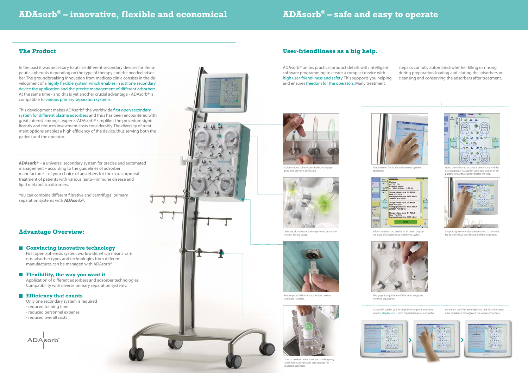# **ADAsorb® – safe and easy to operate**

In the past it was necessary to utilise different secondary devices for therapeutic apheresis depending on the type of therapy and the needed adsorber. The groundbreaking innovation from medicap clinic consists in the development of a highly flexible system, which enables in just one secondary device the application and the precise management of different adsorbers. At the same time - and this is yet another crucial advantage - ADAsorb<sup>®</sup> is compatible to various primary separation systems.

This development makes ADAsorb<sup>®</sup> the worldwide first open secondary system for different plasma adsorbers and thus has been encountered with great interest amongst experts. ADAsorb<sup>®</sup> simplifies the procedure significantly and reduces investment costs considerably. The diversity of treatment options enables a high efficiency of the device, thus serving both the patient and the operator.

You can combine different filtrative and centrifugal primary separation systems with **ADAsorb**®.

## **The Product**

ADAsorb® unites practical product details with intelligent software programming to create a compact device with high user-friendliness and safety. This supports you helping and ensures freedom for the operators. Many treatment steps occur fully automated: whether filling or rinsing during preparation, loading and eluting the adsorbers or cleansing and conserving the adsorbers after treatment.



Touch screen for a safe and intuitive systems operation

### **Advantage Overview:**

**Convincing innovative technology**

First open apheresis system worldwide, which means various adsorber types and technologies from different manufactures can be managed with ADAsorb®.

### **Flexibility, the way you want it**

Only one secondary system is required

- reduced training time
- reduced personnel expense
- reduced overall costs

**ADA**sorb



The graphical guidance of the tubes supports the tried equipping.





Application of different adsorbers and adsorber technologies. Compatibility with diverse primary separation systems.

### **Efficiency that counts**

**ADAsorb**® – a universal secondary system for precise and automated management – according to the guidelines of adsorber manufacturer – of your choice of adsorbers for the extracorporeal treatment of patients with various (auto-) immune disease and lipid metabolism disorders.

# **ADAsorb® – innovative, flexible and economical**

# **User-friendliness as a big help.**



extracorporeal ADAsorb® cycle and display of all parameters of the current treatment step.



Future-proof USB-interface for fast service and data transfers.



Acoustical and visual safety systems control the system during usage.



Colour coded tube system: facilitates equipping and prevents confusion



Special holders make adsorber handling easy and enable a simple and safe storage for reusable adsorbers.



Information box accessible at all times: displays the data of all performed treatment cycles.



Simple adjustment of predetermined parameters for an individual coordination of the treatment.

ADAsorb® guides you through the complete treatment process step by step – from preparation phase onto the

treatment until the accomplished task. Text messages offer assistance through out the whole procedure.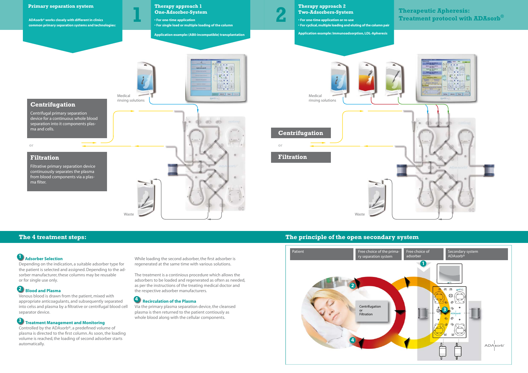Depending on the indication, a suitable adsorber type for the patient is selected and assigned. Depending to the adsorber manufacturer, these columns may be reusable or for single use only.

Controlled by the ADAsorb®, a predefined volume of plasma is directed to the first column. As soon, the loading volume is reached, the loading of second adsorber starts automatically.

Venous blood is drawn from the patient, mixed with appropriate anticoagulants, and subsequently separated into celss and plasma by a filtrative or centrifugal blood cell separator device.

While loading the second adsorber, the first adsorber is regenerated at the same time with various solutions.

# **Blood and Plasma 2**

# **Treatment Management and Monitoring 3**

The treatment is a continious procedure which allows the adsorbers to be loaded and regenerated as often as needed, as per the instructions of the treating medical doctor and the respective adsorber manufacturers.

Via the primary plasma separation device, the cleansed plasma is then returned to the patient contiously as whole blood along with the cellular components.

# **Recirculation of the Plasma 4**



# **1** Adsorber Selection

# **The 4 treatment steps: The principle of the open secondary system**